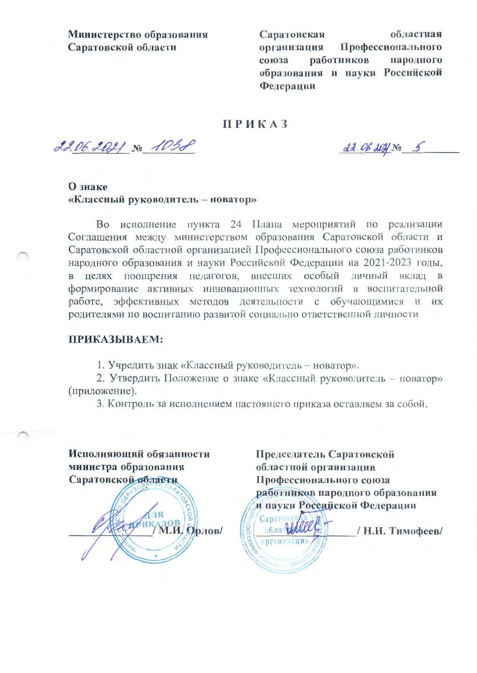Министерство образования Саратовской области

Саратовская областная Профессионального организация работников народного союза образования и науки Российской Федерации

### **ПРИКАЗ**

22.06.2021 No 1038

dd. 06 2021 No 5

# О знаке «Классный руководитель - новатор»

Во исполнение пункта 24 Плана мероприятий по реализации Соглашения между министерством образования Саратовской области и Саратовской областной организацией Профессионального союза работников народного образования и науки Российской Федерации на 2021-2023 годы, в целях поощрения педагогов, внесших особый личный вклад в формирование активных инновационных технологий в воспитательной работе, эффективных методов деятельности с обучающимися и их родителями по воспитанию развитой социально ответственной личности

#### ПРИКАЗЫВАЕМ:

1. Учредить знак «Классный руководитель - новатор».

2. Утвердить Положение о знаке «Классный руководитель - новатор» (приложение).

3. Контроль за исполнением настоящего приказа оставляем за собой.

Исполняющий обязанности министра образования Саратовской области

АЗОВ. Орлов/

Председатель Саратовской областной организации Профессионального союза работников народного образования и науки Российской Федерации

Саратонск облас 166 / Н.Н. Тимофеев/ **организация**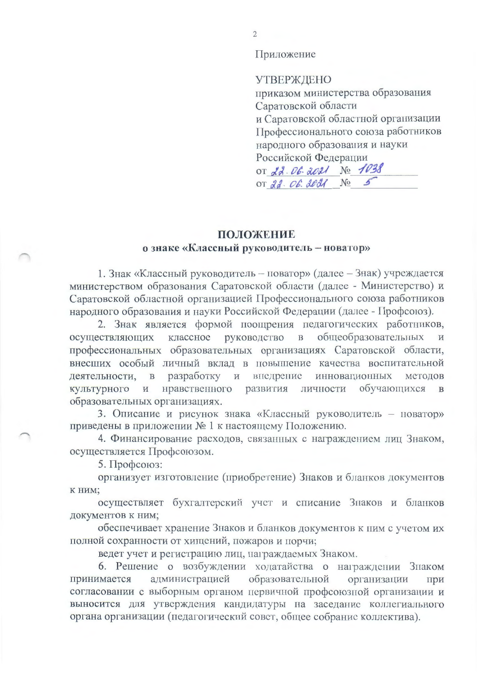Приложение

**УТВЕРЖДЕНО** приказом министерства образования Саратовской области и Саратовской областной организации Профессионального союза работников народного образования и науки Российской Федерации OT 22. 06. 2021 No 1038 or  $22.06.0021$  No 5

#### ПОЛОЖЕНИЕ

#### о знаке «Классный руководитель - новатор»

1. Знак «Классный руководитель - новатор» (далее - Знак) учреждается министерством образования Саратовской области (далее - Министерство) и Саратовской областной организацией Профессионального союза работников народного образования и науки Российской Федерации (далее - Профсоюз).

2. Знак является формой поощрения педагогических работников, классное руководство в общеобразовательных осуществляющих профессиональных образовательных организациях Саратовской области, внесших особый личный вклад в повышение качества воспитательной деятельности. в разработку и внедрение инновационных методов нравственного развития личности обучающихся культурного  $\,$  M  $\overline{B}$ образовательных организациях.

3. Описание и рисунок знака «Классный руководитель - новатор» приведены в приложении № 1 к настоящему Положению.

4. Финансирование расходов, связанных с награждением лиц Знаком, осуществляется Профсоюзом.

5. Профсоюз:

организует изготовление (приобретение) Знаков и бланков документов к ним;

осуществляет бухгалтерский учет и списание Знаков и бланков документов к ним;

обеспечивает хранение Знаков и бланков документов к ним с учетом их полной сохранности от хищений, пожаров и порчи;

ведет учет и регистрацию лиц, награждаемых Знаком.

6. Решение о возбуждении ходатайства о награждении Знаком администрацией образовательной принимается организации При согласовании с выборным органом первичной профсоюзной организации и выносится для утверждения кандидатуры на заседание коллегиального органа организации (педагогический совет, общее собрание коллектива).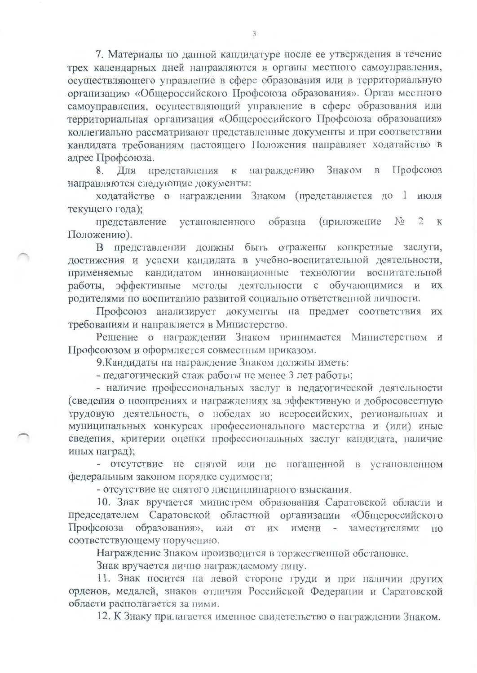7. Материалы по данной кандидатуре после ее утверждения в течение трех календарных дней направляются в органы местного самоуправления, осуществляющего управление в сфере образования или в территориальную организацию «Общероссийского Профсоюза образования». Орган местного самоуправления, осуществляющий управление в сфере образования или территориальная организация «Общероссийского Профсоюза образования» коллегиально рассматривают представленные документы и при соответствии кандидата требованиям настоящего Положения направляет ходатайство в адрес Профсоюза.

награждению Знаком  $\mathbf{B}$ Профсоюз 8. Для представления  $\mathbf K$ направляются следующие документы:

ходатайство о награждении Знаком (представляется до 1 июля текущего года);

образца (приложение  $N_2$  $\overline{2}$ представление установленного  $\mathbf K$ Положению).

В представлении должны быть отражены конкретные заслуги, достижения и успехи кандидата в учебно-воспитательной деятельности, применяемые кандидатом инновационные технологии воспитательной работы, эффективные методы деятельности с обучающимися и **HX** родителями по воспитанию развитой социально ответственной личности.

Профсоюз анализирует документы на предмет соответствия их требованиям и направляется в Министерство.

Решение о награждении Знаком принимается Министерством и Профсоюзом и оформляется совместным приказом.

9. Кандидаты на награждение Знаком должны иметь:

- педагогический стаж работы не менее 3 лет работы;

- наличие профессиональных заслуг в педагогической деятельности (сведения о поощрениях и награждениях за эффективную и добросовестную трудовую деятельность, о нобедах во всероссийских, региональных и муниципальных конкурсах профессионального мастерства и (или) иные сведения, критерии оценки профессиональных заслуг кандидата, наличие иных наград);

- отсутствие не снятой или не погашенной в установленном федеральным законом порядке судимости;

- отсутствие не снятого дисциплинарного взыскания.

10. Знак вручается министром образования Саратовской области и председателем Саратовской областной организации «Общероссийского Профсоюза образования», или от их имени заместителями **TIO** соответствующему поручению.

Награждение Знаком производится в торжественной обстановке.

Знак вручается лично награждаемому лицу.

11. Знак носится на левой стороне груди и при наличии других орденов, медалей, знаков отличия Российской Федерации и Саратовской области располагается за ними.

12. К Знаку прилагается именное свидетельство о награждении Знаком.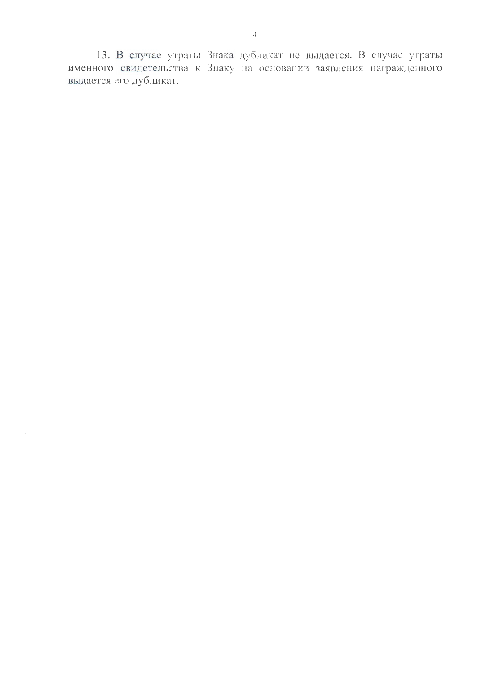13. В случае утраты Знака дубликат не выдается. В случае утраты именного свидетельства к Знаку на основании заявления награжденного выдается его дубликат.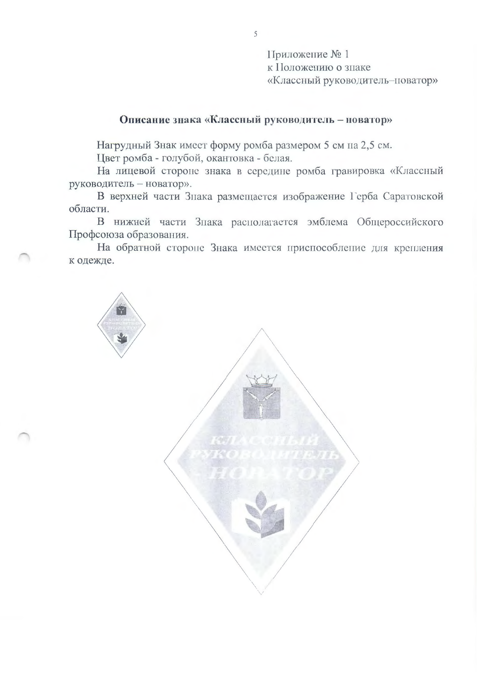Приложение № 1 к Положению о знаке «Классный руководитель-поватор»

# Описание знака «Классный руководитель - новатор»

Нагрудный Знак имеет форму ромба размером 5 см на 2,5 см.

Цвет ромба - голубой, окантовка - белая.

На лицевой стороне знака в середине ромба гравировка «Классный руководитель - новатор».

В верхней части Знака размещается изображение Герба Саратовской области.

В нижней части Знака располагается эмблема Общероссийского Профсоюза образования.

На обратной стороне Знака имеется приспособление для крепления к одежде.



5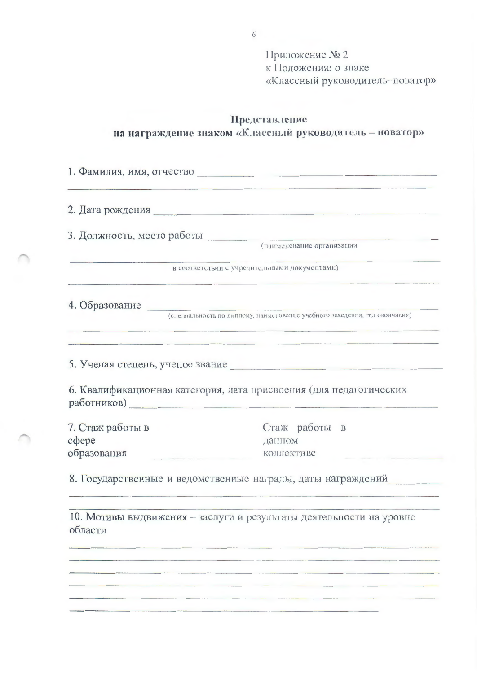Приложение № 2 к Положению о знаке «Классный руководитель-новатор»

### Представление на награждение знаком «Классный руководитель - новатор»

1. Фамилия, имя, отчество 2. Дата рождения 3. Должность, место работы (наименование организации в соответствии с учредительными документами) 4. Образование (специальность по диплому, наименование учебного заведения, год окончания) 5. Ученая степень, ученое звание 6. Квалификационная категория, дата присвоения (для педагогических работников) 7. Стаж работы в Стаж работы в coepe ланном образования коллективе the control of the control of the control of 8. Государственные и ведомственные награды, даты награждений 10. Мотивы выдвижения - заслуги и результаты деятельности на уровне области

6